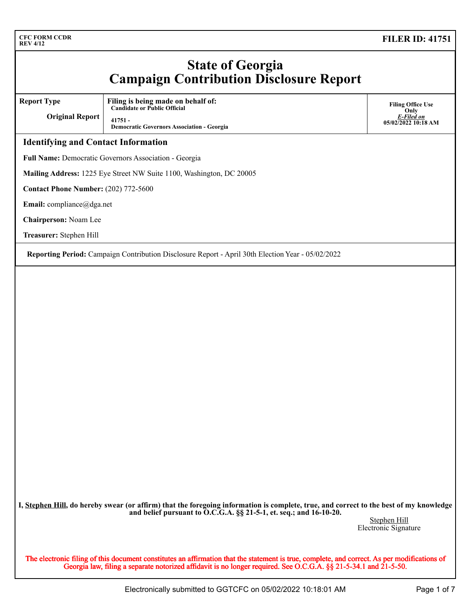### **State of Georgia Campaign Contribution Disclosure Report**

**Report Type**

**Original Report Filing is being made on behalf of: Candidate or Public Official 41751 - Democratic Governors Association - Georgia**

**Filing Office Use Only** *E-Filed on* **05/02/2022 10:18 AM**

#### **Identifying and Contact Information**

**Full Name:** Democratic Governors Association - Georgia

**Mailing Address:** 1225 Eye Street NW Suite 1100, Washington, DC 20005

**Contact Phone Number:** (202) 772-5600

**Email:** compliance@dga.net

**Chairperson:** Noam Lee

**Treasurer:** Stephen Hill

**Reporting Period:** Campaign Contribution Disclosure Report - April 30th Election Year - 05/02/2022

**I, Stephen Hill, do hereby swear (or affirm) that the foregoing information is complete, true, and correct to the best of my knowledge and belief pursuant to O.C.G.A. §§ 21-5-1, et. seq.; and 16-10-20.**

Stephen Hill Electronic Signature

The electronic filing of this document constitutes an affirmation that the statement is true, complete, and correct. As per modifications of Georgia law, filing a separate notorized affidavit is no longer required. See O.C.G.A. §§ 21-5-34.1 and 21-5-50.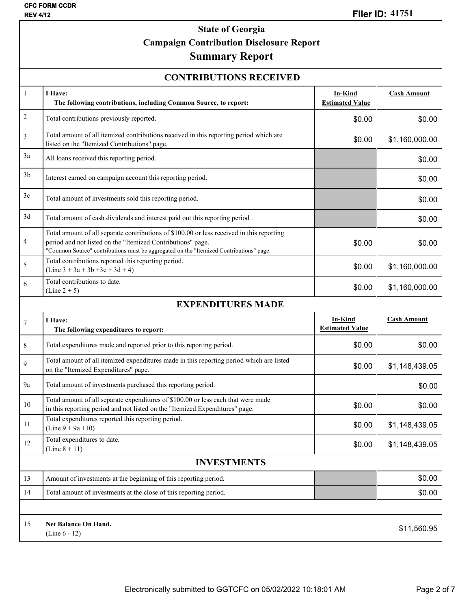## **State of Georgia Campaign Contribution Disclosure Report**

# **Summary Report**

| <b>CFC FORM CCDR</b><br><b>Filer ID: 41751</b><br><b>REV 4/12</b> |                                                                                                                                                                                                                                                    |                                   |                    |  |  |  |  |
|-------------------------------------------------------------------|----------------------------------------------------------------------------------------------------------------------------------------------------------------------------------------------------------------------------------------------------|-----------------------------------|--------------------|--|--|--|--|
|                                                                   | <b>State of Georgia</b><br><b>Campaign Contribution Disclosure Report</b><br><b>Summary Report</b>                                                                                                                                                 |                                   |                    |  |  |  |  |
|                                                                   | <b>CONTRIBUTIONS RECEIVED</b>                                                                                                                                                                                                                      |                                   |                    |  |  |  |  |
| $\mathbf{1}$                                                      | I Have:<br>The following contributions, including Common Source, to report:                                                                                                                                                                        | In-Kind<br><b>Estimated Value</b> | <b>Cash Amount</b> |  |  |  |  |
| $\sqrt{2}$                                                        | Total contributions previously reported.                                                                                                                                                                                                           | \$0.00                            | \$0.00             |  |  |  |  |
| $\mathfrak{Z}$                                                    | Total amount of all itemized contributions received in this reporting period which are<br>listed on the "Itemized Contributions" page.                                                                                                             | \$0.00                            | \$1,160,000.00     |  |  |  |  |
| 3a                                                                | All loans received this reporting period.                                                                                                                                                                                                          |                                   | \$0.00             |  |  |  |  |
| 3 <sub>b</sub>                                                    | Interest earned on campaign account this reporting period.                                                                                                                                                                                         |                                   | \$0.00             |  |  |  |  |
| 3c                                                                | Total amount of investments sold this reporting period.                                                                                                                                                                                            |                                   | \$0.00             |  |  |  |  |
| 3d                                                                | Total amount of cash dividends and interest paid out this reporting period.                                                                                                                                                                        |                                   | \$0.00             |  |  |  |  |
| $\overline{4}$                                                    | Total amount of all separate contributions of \$100.00 or less received in this reporting<br>period and not listed on the "Itemized Contributions" page.<br>"Common Source" contributions must be aggregated on the "Itemized Contributions" page. | \$0.00                            | \$0.00             |  |  |  |  |
| 5                                                                 | Total contributions reported this reporting period.<br>$(Line 3 + 3a + 3b + 3c + 3d + 4)$                                                                                                                                                          | \$0.00                            | \$1,160,000.00     |  |  |  |  |
| 6                                                                 | Total contributions to date.<br>$(Line 2 + 5)$                                                                                                                                                                                                     | \$0.00                            | \$1,160,000.00     |  |  |  |  |
|                                                                   | <b>EXPENDITURES MADE</b>                                                                                                                                                                                                                           |                                   |                    |  |  |  |  |
| $7\phantom{.0}$                                                   | I Have:<br>The following expenditures to report:                                                                                                                                                                                                   | In-Kind<br><b>Estimated Value</b> | <b>Cash Amount</b> |  |  |  |  |
| 8                                                                 | Total expenditures made and reported prior to this reporting period.                                                                                                                                                                               | \$0.00                            | \$0.00             |  |  |  |  |
| 9                                                                 | Total amount of all itemized expenditures made in this reporting period which are listed<br>on the "Itemized Expenditures" page.                                                                                                                   | \$0.00                            | \$1,148,439.05     |  |  |  |  |
| 9a                                                                | Total amount of investments purchased this reporting period.                                                                                                                                                                                       |                                   | \$0.00             |  |  |  |  |
| 10                                                                | Total amount of all separate expenditures of \$100.00 or less each that were made<br>in this reporting period and not listed on the "Itemized Expenditures" page.                                                                                  | \$0.00                            | \$0.00             |  |  |  |  |
| 11                                                                | Total expenditures reported this reporting period.<br>(Line $9 + 9a + 10$ )                                                                                                                                                                        | \$0.00                            | \$1,148,439.05     |  |  |  |  |
| 12                                                                | Total expenditures to date.<br>(Line $8 + 11$ )                                                                                                                                                                                                    | \$0.00                            | \$1,148,439.05     |  |  |  |  |
| <b>INVESTMENTS</b>                                                |                                                                                                                                                                                                                                                    |                                   |                    |  |  |  |  |
| 13                                                                | Amount of investments at the beginning of this reporting period.                                                                                                                                                                                   |                                   | \$0.00             |  |  |  |  |
| 14                                                                | Total amount of investments at the close of this reporting period.                                                                                                                                                                                 |                                   | \$0.00             |  |  |  |  |
|                                                                   |                                                                                                                                                                                                                                                    |                                   |                    |  |  |  |  |
| 15                                                                | <b>Net Balance On Hand.</b><br>(Line $6 - 12$ )                                                                                                                                                                                                    |                                   | \$11,560.95        |  |  |  |  |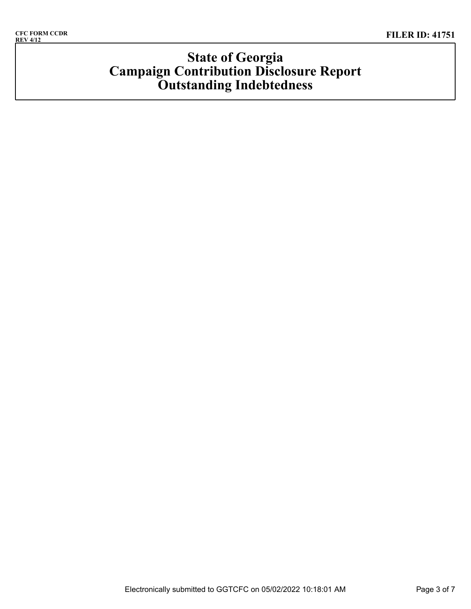# **State of Georgia Campaign Contribution Disclosure Report Outstanding Indebtedness**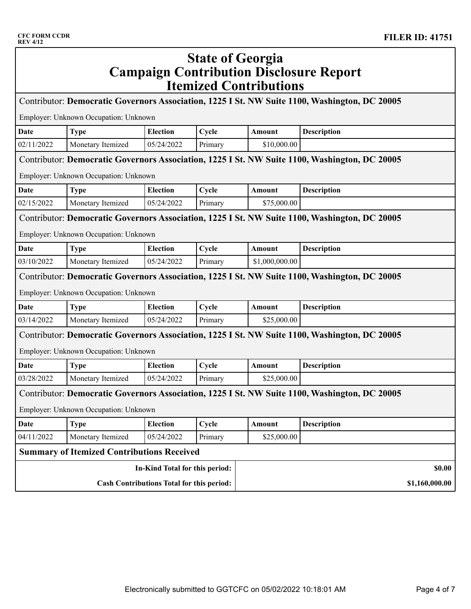| <b>KEV 4/12</b>                                                                                                                        |                                                   |                                |                         |                               |                                                                                               |                |
|----------------------------------------------------------------------------------------------------------------------------------------|---------------------------------------------------|--------------------------------|-------------------------|-------------------------------|-----------------------------------------------------------------------------------------------|----------------|
|                                                                                                                                        |                                                   |                                | <b>State of Georgia</b> | <b>Itemized Contributions</b> | <b>Campaign Contribution Disclosure Report</b>                                                |                |
|                                                                                                                                        |                                                   |                                |                         |                               | Contributor: Democratic Governors Association, 1225 I St. NW Suite 1100, Washington, DC 20005 |                |
|                                                                                                                                        | Employer: Unknown Occupation: Unknown             |                                |                         |                               |                                                                                               |                |
| Date                                                                                                                                   | <b>Type</b>                                       | <b>Election</b>                | Cycle                   | Amount                        | Description                                                                                   |                |
| 02/11/2022                                                                                                                             | Monetary Itemized                                 | 05/24/2022                     | Primary                 | \$10,000.00                   |                                                                                               |                |
|                                                                                                                                        | Employer: Unknown Occupation: Unknown             |                                |                         |                               | Contributor: Democratic Governors Association, 1225 I St. NW Suite 1100, Washington, DC 20005 |                |
| <b>Date</b>                                                                                                                            | <b>Type</b>                                       | <b>Election</b>                | Cycle                   | Amount                        | Description                                                                                   |                |
| 02/15/2022                                                                                                                             | Monetary Itemized                                 | 05/24/2022                     | Primary                 | \$75,000.00                   |                                                                                               |                |
| Contributor: Democratic Governors Association, 1225 I St. NW Suite 1100, Washington, DC 20005<br>Employer: Unknown Occupation: Unknown |                                                   |                                |                         |                               |                                                                                               |                |
| Date                                                                                                                                   | <b>Type</b>                                       | <b>Election</b>                | Cycle                   | Amount                        | Description                                                                                   |                |
| 03/10/2022                                                                                                                             | Monetary Itemized                                 | 05/24/2022                     | Primary                 | \$1,000,000.00                |                                                                                               |                |
|                                                                                                                                        | Employer: Unknown Occupation: Unknown             |                                |                         |                               | Contributor: Democratic Governors Association, 1225 I St. NW Suite 1100, Washington, DC 20005 |                |
| Date                                                                                                                                   | <b>Type</b>                                       | <b>Election</b>                | Cycle                   | Amount                        | Description                                                                                   |                |
| 03/14/2022                                                                                                                             | Monetary Itemized                                 | 05/24/2022                     | Primary                 | \$25,000.00                   |                                                                                               |                |
| Contributor: Democratic Governors Association, 1225 I St. NW Suite 1100, Washington, DC 20005<br>Employer: Unknown Occupation: Unknown |                                                   |                                |                         |                               |                                                                                               |                |
| Date                                                                                                                                   | <b>Type</b>                                       | <b>Election</b>                | Cycle                   | Amount                        | Description                                                                                   |                |
| 03/28/2022                                                                                                                             | Monetary Itemized                                 | 05/24/2022                     | Primary                 | \$25,000.00                   |                                                                                               |                |
|                                                                                                                                        | Employer: Unknown Occupation: Unknown             |                                |                         |                               | Contributor: Democratic Governors Association, 1225 I St. NW Suite 1100, Washington, DC 20005 |                |
| <b>Date</b>                                                                                                                            | <b>Type</b>                                       | <b>Election</b>                | Cycle                   | Amount                        | <b>Description</b>                                                                            |                |
| 04/11/2022                                                                                                                             | Monetary Itemized                                 | 05/24/2022                     | Primary                 | \$25,000.00                   |                                                                                               |                |
|                                                                                                                                        | <b>Summary of Itemized Contributions Received</b> |                                |                         |                               |                                                                                               |                |
|                                                                                                                                        |                                                   | In-Kind Total for this period: |                         |                               |                                                                                               | \$0.00         |
| <b>Cash Contributions Total for this period:</b>                                                                                       |                                                   |                                |                         |                               |                                                                                               | \$1,160,000.00 |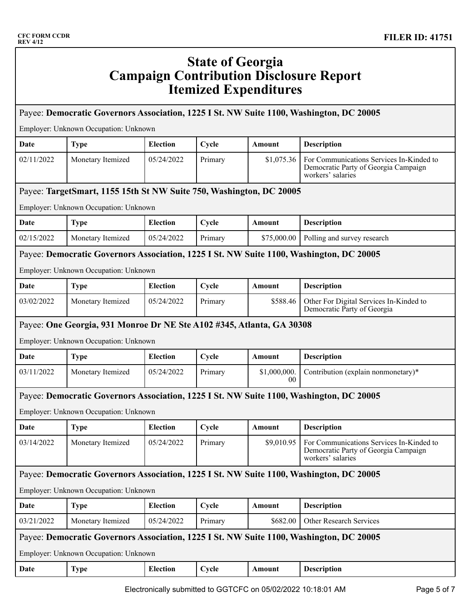| <b>CFC FORM CCDR</b><br><b>REV 4/12</b> |                                                                                                                |                 |                         |                              | <b>FILER ID: 41751</b>                                                                                |
|-----------------------------------------|----------------------------------------------------------------------------------------------------------------|-----------------|-------------------------|------------------------------|-------------------------------------------------------------------------------------------------------|
|                                         |                                                                                                                |                 | <b>State of Georgia</b> | <b>Itemized Expenditures</b> | <b>Campaign Contribution Disclosure Report</b>                                                        |
|                                         |                                                                                                                |                 |                         |                              | Payee: Democratic Governors Association, 1225 I St. NW Suite 1100, Washington, DC 20005               |
|                                         | Employer: Unknown Occupation: Unknown                                                                          |                 |                         |                              |                                                                                                       |
| Date                                    | <b>Type</b>                                                                                                    | <b>Election</b> | Cycle                   | Amount                       | <b>Description</b>                                                                                    |
| 02/11/2022                              | Monetary Itemized                                                                                              | 05/24/2022      | Primary                 | \$1,075.36                   | For Communications Services In-Kinded to<br>Democratic Party of Georgia Campaign<br>workers' salaries |
|                                         | Payee: TargetSmart, 1155 15th St NW Suite 750, Washington, DC 20005                                            |                 |                         |                              |                                                                                                       |
|                                         | Employer: Unknown Occupation: Unknown                                                                          |                 |                         |                              |                                                                                                       |
| Date                                    | <b>Type</b>                                                                                                    | <b>Election</b> | Cycle                   | Amount                       | <b>Description</b>                                                                                    |
| 02/15/2022                              | Monetary Itemized                                                                                              | 05/24/2022      | Primary                 | \$75,000.00                  | Polling and survey research                                                                           |
|                                         |                                                                                                                |                 |                         |                              | Payee: Democratic Governors Association, 1225 I St. NW Suite 1100, Washington, DC 20005               |
|                                         | Employer: Unknown Occupation: Unknown                                                                          |                 |                         |                              |                                                                                                       |
| Date                                    | <b>Type</b>                                                                                                    | <b>Election</b> | Cycle                   | Amount                       | <b>Description</b>                                                                                    |
| 03/02/2022                              | Monetary Itemized                                                                                              | 05/24/2022      | Primary                 | \$588.46                     | Other For Digital Services In-Kinded to<br>Democratic Party of Georgia                                |
|                                         | Payee: One Georgia, 931 Monroe Dr NE Ste A102 #345, Atlanta, GA 30308<br>Employer: Unknown Occupation: Unknown |                 |                         |                              |                                                                                                       |
| Date                                    | <b>Type</b>                                                                                                    | <b>Election</b> | Cycle                   | Amount                       | <b>Description</b>                                                                                    |
| 03/11/2022                              | Monetary Itemized                                                                                              | 05/24/2022      | Primary                 | \$1,000,000.<br>$00\,$       | Contribution (explain nonmonetary)*                                                                   |
|                                         |                                                                                                                |                 |                         |                              | Payee: Democratic Governors Association, 1225 I St. NW Suite 1100, Washington, DC 20005               |
|                                         | Employer: Unknown Occupation: Unknown                                                                          |                 |                         |                              |                                                                                                       |
| Date                                    | <b>Type</b>                                                                                                    | <b>Election</b> | Cycle                   | Amount                       | <b>Description</b>                                                                                    |
| 03/14/2022                              | Monetary Itemized                                                                                              | 05/24/2022      | Primary                 | \$9,010.95                   | For Communications Services In-Kinded to<br>Democratic Party of Georgia Campaign<br>workers' salaries |
|                                         |                                                                                                                |                 |                         |                              | Payee: Democratic Governors Association, 1225 I St. NW Suite 1100, Washington, DC 20005               |
|                                         | Employer: Unknown Occupation: Unknown                                                                          |                 |                         |                              |                                                                                                       |
| Date                                    | <b>Type</b>                                                                                                    | <b>Election</b> | Cycle                   | Amount                       | <b>Description</b>                                                                                    |
| 03/21/2022                              | Monetary Itemized                                                                                              | 05/24/2022      | Primary                 | \$682.00                     | Other Research Services                                                                               |
|                                         |                                                                                                                |                 |                         |                              | Payee: Democratic Governors Association, 1225 I St. NW Suite 1100, Washington, DC 20005               |
|                                         | Employer: Unknown Occupation: Unknown                                                                          |                 |                         |                              |                                                                                                       |
| Date                                    | <b>Type</b>                                                                                                    | <b>Election</b> | Cycle                   | Amount                       | <b>Description</b>                                                                                    |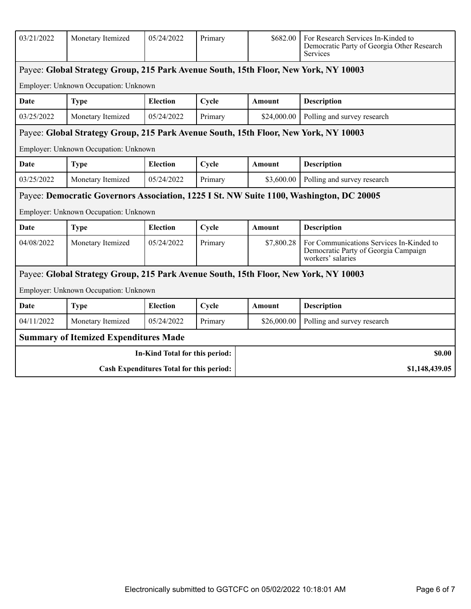| 03/21/2022                               | Monetary Itemized                                                                   | 05/24/2022                     | Primary | \$682.00<br>For Research Services In-Kinded to<br>Democratic Party of Georgia Other Research<br>Services |                                                                                                       |
|------------------------------------------|-------------------------------------------------------------------------------------|--------------------------------|---------|----------------------------------------------------------------------------------------------------------|-------------------------------------------------------------------------------------------------------|
|                                          | Payee: Global Strategy Group, 215 Park Avenue South, 15th Floor, New York, NY 10003 |                                |         |                                                                                                          |                                                                                                       |
|                                          | Employer: Unknown Occupation: Unknown                                               |                                |         |                                                                                                          |                                                                                                       |
| Date                                     | <b>Type</b>                                                                         | <b>Election</b>                | Cycle   | Amount                                                                                                   | <b>Description</b>                                                                                    |
| 03/25/2022                               | Monetary Itemized                                                                   | 05/24/2022                     | Primary | Polling and survey research<br>\$24,000.00                                                               |                                                                                                       |
|                                          | Payee: Global Strategy Group, 215 Park Avenue South, 15th Floor, New York, NY 10003 |                                |         |                                                                                                          |                                                                                                       |
|                                          | Employer: Unknown Occupation: Unknown                                               |                                |         |                                                                                                          |                                                                                                       |
| <b>Date</b>                              | <b>Type</b>                                                                         | <b>Election</b>                | Cycle   | Amount                                                                                                   | <b>Description</b>                                                                                    |
| 03/25/2022                               | Monetary Itemized                                                                   | 05/24/2022                     | Primary | \$3,600.00                                                                                               | Polling and survey research                                                                           |
|                                          |                                                                                     |                                |         |                                                                                                          | Payee: Democratic Governors Association, 1225 I St. NW Suite 1100, Washington, DC 20005               |
|                                          | Employer: Unknown Occupation: Unknown                                               |                                |         |                                                                                                          |                                                                                                       |
| Date                                     | <b>Type</b>                                                                         | <b>Election</b>                | Cycle   | Amount                                                                                                   | <b>Description</b>                                                                                    |
| 04/08/2022                               | Monetary Itemized                                                                   | 05/24/2022                     | Primary | \$7,800.28                                                                                               | For Communications Services In-Kinded to<br>Democratic Party of Georgia Campaign<br>workers' salaries |
|                                          | Payee: Global Strategy Group, 215 Park Avenue South, 15th Floor, New York, NY 10003 |                                |         |                                                                                                          |                                                                                                       |
|                                          | Employer: Unknown Occupation: Unknown                                               |                                |         |                                                                                                          |                                                                                                       |
| Date                                     | <b>Type</b>                                                                         | <b>Election</b>                | Cycle   | <b>Amount</b>                                                                                            | <b>Description</b>                                                                                    |
| 04/11/2022                               | Monetary Itemized                                                                   | 05/24/2022                     | Primary | \$26,000.00                                                                                              | Polling and survey research                                                                           |
|                                          | <b>Summary of Itemized Expenditures Made</b>                                        |                                |         |                                                                                                          |                                                                                                       |
|                                          |                                                                                     | In-Kind Total for this period: |         |                                                                                                          | \$0.00                                                                                                |
| Cash Expenditures Total for this period: |                                                                                     |                                |         |                                                                                                          | \$1,148,439.05                                                                                        |